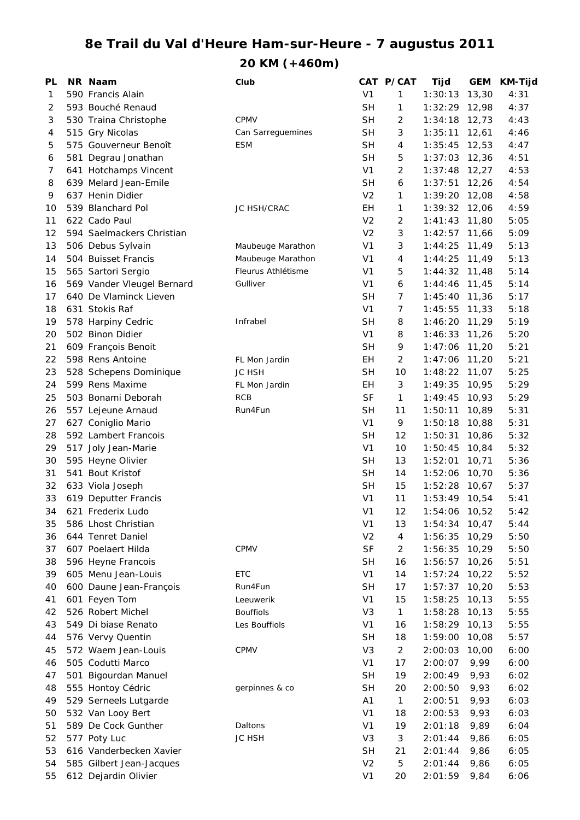## **8e Trail du Val d'Heure Ham-sur-Heure - 7 augustus 2011**

**20 KM (+460m)**

| PL | NR Naam                    | Club               |                | CAT P/CAT      | Tijd            | <b>GEM</b> | KM-Tijd |
|----|----------------------------|--------------------|----------------|----------------|-----------------|------------|---------|
| 1  | 590 Francis Alain          |                    | V <sub>1</sub> | 1              | 1:30:13         | 13,30      | 4:31    |
| 2  | 593 Bouché Renaud          |                    | <b>SH</b>      | 1              | 1:32:29         | 12,98      | 4:37    |
| 3  | 530 Traina Christophe      | CPMV               | <b>SH</b>      | $\overline{c}$ | 1:34:18         | 12,73      | 4:43    |
| 4  | 515 Gry Nicolas            | Can Sarreguemines  | <b>SH</b>      | 3              | 1:35:11         | 12,61      | 4:46    |
| 5  | 575 Gouverneur Benoît      | <b>ESM</b>         | <b>SH</b>      | 4              | 1:35:45         | 12,53      | 4:47    |
| 6  | 581 Degrau Jonathan        |                    | <b>SH</b>      | 5              | $1:37:03$ 12,36 |            | 4:51    |
| 7  | 641 Hotchamps Vincent      |                    | V <sub>1</sub> | $\overline{c}$ | $1:37:48$ 12,27 |            | 4:53    |
| 8  | 639 Melard Jean-Emile      |                    | <b>SH</b>      | 6              | 1:37:51         | 12,26      | 4:54    |
| 9  | 637 Henin Didier           |                    | V <sub>2</sub> | 1              | 1:39:20         | 12,08      | 4:58    |
| 10 | 539 Blanchard Pol          | <b>JC HSH/CRAC</b> | EН             | 1              | 1:39:32         | 12,06      | 4:59    |
| 11 | 622 Cado Paul              |                    | V <sub>2</sub> | 2              | 1:41:43         | 11,80      | 5:05    |
| 12 | 594 Saelmackers Christian  |                    | V <sub>2</sub> | 3              | 1:42:57         | 11,66      | 5:09    |
| 13 | 506 Debus Sylvain          | Maubeuge Marathon  | V <sub>1</sub> | 3              | 1:44:25         | 11,49      | 5:13    |
| 14 | 504 Buisset Francis        | Maubeuge Marathon  | V <sub>1</sub> | 4              | 1:44:25         | 11,49      | 5:13    |
| 15 | 565 Sartori Sergio         | Fleurus Athlétisme | V <sub>1</sub> | 5              | 1:44:32         | 11,48      | 5:14    |
| 16 | 569 Vander Vleugel Bernard | Gulliver           | V1             | 6              | 1:44:46         | 11,45      | 5:14    |
| 17 | 640 De Vlaminck Lieven     |                    | <b>SH</b>      | 7              | 1:45:40         | 11,36      | 5:17    |
| 18 | 631 Stokis Raf             |                    | V <sub>1</sub> | 7              | 1:45:55         | 11,33      | 5:18    |
| 19 | 578 Harpiny Cedric         | Infrabel           | <b>SH</b>      | 8              | 1:46:20         | 11,29      | 5:19    |
| 20 | 502 Binon Didier           |                    | V <sub>1</sub> | 8              | 1:46:33         | 11,26      | 5:20    |
| 21 | 609 François Benoit        |                    | <b>SH</b>      | 9              | 1:47:06         | 11,20      | 5:21    |
| 22 | 598 Rens Antoine           | FL Mon Jardin      | EH             | $\overline{c}$ | 1:47:06         | 11,20      | 5:21    |
| 23 | 528 Schepens Dominique     | <b>JC HSH</b>      | <b>SH</b>      | 10             | 1:48:22         | 11,07      | 5:25    |
| 24 | 599 Rens Maxime            | FL Mon Jardin      | EН             | 3              | 1:49:35         | 10,95      | 5:29    |
| 25 | 503 Bonami Deborah         | <b>RCB</b>         | <b>SF</b>      | 1              | 1:49:45         | 10,93      | 5:29    |
| 26 | 557 Lejeune Arnaud         | Run4Fun            | <b>SH</b>      | 11             | 1:50:11         | 10,89      | 5:31    |
| 27 | 627 Coniglio Mario         |                    | V <sub>1</sub> | 9              | 1:50:18         | 10,88      | 5:31    |
| 28 | 592 Lambert Francois       |                    | <b>SH</b>      | 12             | 1:50:31         | 10,86      | 5:32    |
| 29 | 517 Joly Jean-Marie        |                    | V <sub>1</sub> | 10             | 1:50:45         | 10,84      | 5:32    |
| 30 | 595 Heyne Olivier          |                    | <b>SH</b>      | 13             | 1:52:01         | 10,71      | 5:36    |
| 31 | 541 Bout Kristof           |                    | <b>SH</b>      | 14             | 1:52:06         | 10,70      | 5:36    |
| 32 | 633 Viola Joseph           |                    | <b>SH</b>      | 15             | 1:52:28         | 10,67      | 5:37    |
| 33 | 619 Deputter Francis       |                    | V <sub>1</sub> | 11             | $1:53:49$ 10,54 |            | 5:41    |
| 34 | 621 Frederix Ludo          |                    | V <sub>1</sub> | 12             | 1:54:06         | 10,52      | 5:42    |
| 35 | 586 Lhost Christian        |                    | V <sub>1</sub> | 13             | 1:54:34         | 10,47      | 5:44    |
| 36 | 644 Tenret Daniel          |                    | V <sub>2</sub> | 4              | 1:56:35         | 10,29      | 5:50    |
| 37 | 607 Poelaert Hilda         | CPMV               | <b>SF</b>      | $\overline{2}$ | 1:56:35         | 10,29      | 5:50    |
| 38 | 596 Heyne Francois         |                    | <b>SH</b>      | 16             | 1:56:57         | 10,26      | 5:51    |
| 39 | 605 Menu Jean-Louis        | ETC                | V <sub>1</sub> | 14             | 1:57:24         | 10,22      | 5:52    |
| 40 | 600 Daune Jean-François    | Run4Fun            | <b>SH</b>      | 17             | 1:57:37         | 10,20      | 5:53    |
| 41 | 601 Feyen Tom              | Leeuwerik          | V <sub>1</sub> | 15             | 1:58:25         | 10, 13     | 5:55    |
| 42 | 526 Robert Michel          | <b>Bouffiols</b>   | V <sub>3</sub> | $\mathbf{1}$   | 1:58:28         | 10, 13     | 5:55    |
| 43 | 549 Di biase Renato        | Les Bouffiols      | V <sub>1</sub> | 16             | 1:58:29         | 10, 13     | 5:55    |
| 44 | 576 Vervy Quentin          |                    | <b>SH</b>      | 18             | 1:59:00         | 10,08      | 5:57    |
| 45 | 572 Waem Jean-Louis        | CPMV               | V <sub>3</sub> | $\overline{2}$ | 2:00:03         | 10,00      | 6:00    |
| 46 | 505 Codutti Marco          |                    | V <sub>1</sub> | 17             | 2:00:07         | 9,99       | 6:00    |
| 47 | 501 Bigourdan Manuel       |                    | <b>SH</b>      | 19             | 2:00:49         | 9,93       | 6:02    |
| 48 | 555 Hontoy Cédric          | gerpinnes & co     | <b>SH</b>      | 20             | 2:00:50         | 9,93       | 6:02    |
| 49 | 529 Serneels Lutgarde      |                    | A <sub>1</sub> | $\mathbf{1}$   | 2:00:51         | 9,93       | 6:03    |
| 50 | 532 Van Looy Bert          |                    | V <sub>1</sub> | 18             | 2:00:53         | 9,93       | 6:03    |
| 51 | 589 De Cock Gunther        | Daltons            | V <sub>1</sub> | 19             | 2:01:18         | 9,89       | 6:04    |
| 52 | 577 Poty Luc               | JC HSH             | V <sub>3</sub> | 3              | 2:01:44         | 9,86       | 6:05    |
| 53 | 616 Vanderbecken Xavier    |                    | <b>SH</b>      | 21             | 2:01:44         | 9,86       | 6:05    |
| 54 | 585 Gilbert Jean-Jacques   |                    | V <sub>2</sub> | 5              | 2:01:44         | 9,86       | 6:05    |
| 55 |                            |                    | V <sub>1</sub> | 20             |                 |            | 6:06    |
|    | 612 Dejardin Olivier       |                    |                |                | 2:01:59         | 9,84       |         |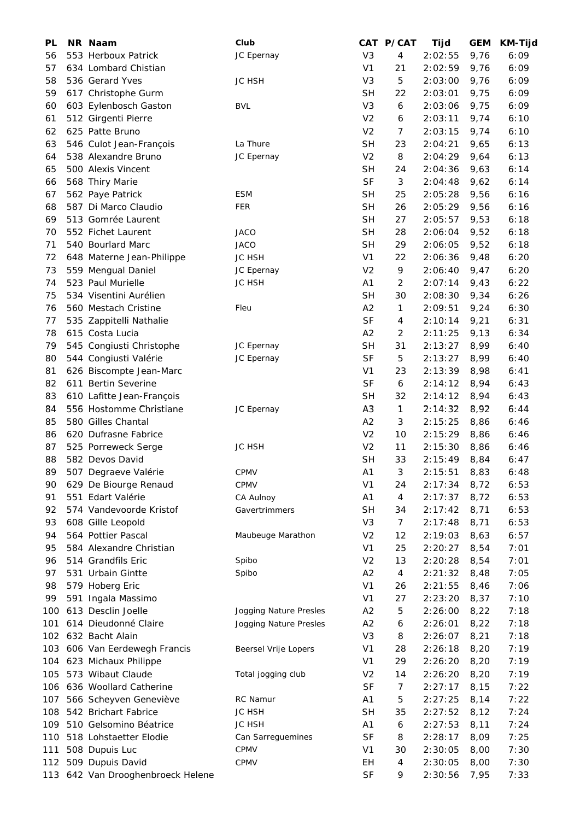| PL  | NR Naam                           | Club                   |                | CAT P/CAT | Tijd    | <b>GEM</b> | <b>KM-Tijd</b> |
|-----|-----------------------------------|------------------------|----------------|-----------|---------|------------|----------------|
| 56  | 553 Herboux Patrick               | JC Epernay             | V <sub>3</sub> | 4         | 2:02:55 | 9,76       | 6:09           |
| 57  | 634 Lombard Chistian              |                        | V <sub>1</sub> | 21        | 2:02:59 | 9,76       | 6:09           |
| 58  | 536 Gerard Yves                   | <b>JC HSH</b>          | V <sub>3</sub> | 5         | 2:03:00 | 9,76       | 6:09           |
| 59  | 617 Christophe Gurm               |                        | <b>SH</b>      | 22        | 2:03:01 | 9,75       | 6:09           |
| 60  | 603 Eylenbosch Gaston             | <b>BVL</b>             | V <sub>3</sub> | 6         | 2:03:06 | 9,75       | 6:09           |
| 61  | 512 Girgenti Pierre               |                        | V <sub>2</sub> | 6         | 2:03:11 | 9,74       | 6:10           |
| 62  | 625 Patte Bruno                   |                        | V <sub>2</sub> | 7         | 2:03:15 | 9,74       | 6:10           |
| 63  | 546 Culot Jean-François           | La Thure               | <b>SH</b>      | 23        | 2:04:21 | 9,65       | 6:13           |
| 64  | 538 Alexandre Bruno               | JC Epernay             | V <sub>2</sub> | 8         | 2:04:29 | 9,64       | 6:13           |
| 65  | 500 Alexis Vincent                |                        | <b>SH</b>      | 24        | 2:04:36 | 9,63       | 6:14           |
| 66  | 568 Thiry Marie                   |                        | <b>SF</b>      | 3         | 2:04:48 | 9,62       | 6:14           |
| 67  | 562 Paye Patrick                  | <b>ESM</b>             | <b>SH</b>      | 25        | 2:05:28 | 9,56       | 6:16           |
| 68  | 587 Di Marco Claudio              | <b>FER</b>             | <b>SH</b>      | 26        | 2:05:29 | 9,56       | 6:16           |
| 69  | 513 Gomrée Laurent                |                        | <b>SH</b>      | 27        | 2:05:57 | 9,53       | 6:18           |
| 70  | 552 Fichet Laurent                | <b>JACO</b>            | <b>SH</b>      | 28        | 2:06:04 | 9,52       | 6:18           |
|     |                                   |                        |                |           |         |            |                |
| 71  | 540 Bourlard Marc                 | <b>JACO</b>            | <b>SH</b>      | 29        | 2:06:05 | 9,52       | 6:18           |
| 72  | 648 Materne Jean-Philippe         | JC HSH                 | V <sub>1</sub> | 22        | 2:06:36 | 9,48       | 6:20           |
| 73  | 559 Mengual Daniel                | JC Epernay             | V <sub>2</sub> | 9         | 2:06:40 | 9,47       | 6:20           |
| 74  | 523 Paul Murielle                 | <b>JC HSH</b>          | A1             | 2         | 2:07:14 | 9,43       | 6:22           |
| 75  | 534 Visentini Aurélien            |                        | <b>SH</b>      | 30        | 2:08:30 | 9,34       | 6:26           |
| 76  | 560 Mestach Cristine              | Fleu                   | A2             | 1         | 2:09:51 | 9,24       | 6:30           |
| 77  | 535 Zappitelli Nathalie           |                        | <b>SF</b>      | 4         | 2:10:14 | 9,21       | 6:31           |
| 78  | 615 Costa Lucia                   |                        | A2             | 2         | 2:11:25 | 9,13       | 6:34           |
| 79  | 545 Congiusti Christophe          | JC Epernay             | <b>SH</b>      | 31        | 2:13:27 | 8,99       | 6:40           |
| 80  | 544 Congiusti Valérie             | JC Epernay             | <b>SF</b>      | 5         | 2:13:27 | 8,99       | 6:40           |
| 81  | 626 Biscompte Jean-Marc           |                        | V <sub>1</sub> | 23        | 2:13:39 | 8,98       | 6:41           |
| 82  | 611 Bertin Severine               |                        | <b>SF</b>      | 6         | 2:14:12 | 8,94       | 6:43           |
| 83  | 610 Lafitte Jean-François         |                        | <b>SH</b>      | 32        | 2:14:12 | 8,94       | 6:43           |
| 84  | 556 Hostomme Christiane           | JC Epernay             | A <sub>3</sub> | 1         | 2:14:32 | 8,92       | 6:44           |
| 85  | 580 Gilles Chantal                |                        | A2             | 3         | 2:15:25 | 8,86       | 6:46           |
| 86  | 620 Dufrasne Fabrice              |                        | V <sub>2</sub> | 10        | 2:15:29 | 8,86       | 6:46           |
| 87  | 525 Porreweck Serge               | <b>JC HSH</b>          | V <sub>2</sub> | 11        | 2:15:30 | 8,86       | 6:46           |
| 88  | 582 Devos David                   |                        | <b>SH</b>      | 33        | 2:15:49 | 8,84       | 6:47           |
| 89  | 507 Degraeve Valérie              | CPMV                   | A1             | 3         | 2:15:51 | 8,83       | 6:48           |
| 90  | 629 De Biourge Renaud             | <b>CPMV</b>            | V <sub>1</sub> | 24        | 2:17:34 | 8,72       | 6:53           |
| 91  | 551 Edart Valérie                 | CA Aulnoy              | A1             | 4         | 2:17:37 | 8,72       | 6:53           |
| 92  | 574 Vandevoorde Kristof           | Gavertrimmers          | <b>SH</b>      | 34        | 2:17:42 | 8,71       | 6:53           |
| 93  | 608 Gille Leopold                 |                        | V <sub>3</sub> | 7         | 2:17:48 | 8,71       | 6:53           |
| 94  | 564 Pottier Pascal                | Maubeuge Marathon      | V <sub>2</sub> | 12        | 2:19:03 | 8,63       | 6:57           |
| 95  | 584 Alexandre Christian           |                        | V <sub>1</sub> | 25        | 2:20:27 | 8,54       | 7:01           |
| 96  | 514 Grandfils Eric                | Spibo                  | V <sub>2</sub> | 13        | 2:20:28 | 8,54       | 7:01           |
| 97  | 531 Urbain Gintte                 | Spibo                  | A2             | 4         | 2:21:32 | 8,48       | 7:05           |
| 98  | 579 Hoberg Eric                   |                        | V <sub>1</sub> | 26        | 2:21:55 | 8,46       | 7:06           |
| 99  | 591 Ingala Massimo                |                        | V <sub>1</sub> | 27        | 2:23:20 | 8,37       | 7:10           |
| 100 | 613 Desclin Joelle                | Jogging Nature Presles | A <sub>2</sub> | 5         | 2:26:00 | 8,22       | 7:18           |
| 101 | 614 Dieudonné Claire              | Jogging Nature Presles | A2             | 6         | 2:26:01 | 8,22       | 7:18           |
|     | 102 632 Bacht Alain               |                        | V <sub>3</sub> | 8         | 2:26:07 | 8,21       | 7:18           |
|     |                                   |                        |                |           |         |            |                |
|     | 103 606 Van Eerdewegh Francis     | Beersel Vrije Lopers   | V <sub>1</sub> | 28        | 2:26:18 | 8,20       | 7:19           |
|     | 104 623 Michaux Philippe          |                        | V <sub>1</sub> | 29        | 2:26:20 | 8,20       | 7:19           |
| 105 | 573 Wibaut Claude                 | Total jogging club     | V <sub>2</sub> | 14        | 2:26:20 | 8,20       | 7:19           |
|     | 106 636 Woollard Catherine        |                        | <b>SF</b>      | 7         | 2:27:17 | 8,15       | 7:22           |
| 107 | 566 Scheyven Geneviève            | RC Namur               | A1             | 5         | 2:27:25 | 8,14       | 7:22           |
| 108 | 542 Brichart Fabrice              | <b>JC HSH</b>          | <b>SH</b>      | 35        | 2:27:52 | 8,12       | 7:24           |
| 109 | 510 Gelsomino Béatrice            | JC HSH                 | A1             | 6         | 2:27:53 | 8,11       | 7:24           |
| 110 | 518 Lohstaetter Elodie            | Can Sarreguemines      | <b>SF</b>      | 8         | 2:28:17 | 8,09       | 7:25           |
| 111 | 508 Dupuis Luc                    | CPMV                   | V <sub>1</sub> | 30        | 2:30:05 | 8,00       | 7:30           |
|     | 112 509 Dupuis David              | <b>CPMV</b>            | EH             | 4         | 2:30:05 | 8,00       | 7:30           |
|     | 113 642 Van Drooghenbroeck Helene |                        | <b>SF</b>      | 9         | 2:30:56 | 7,95       | 7:33           |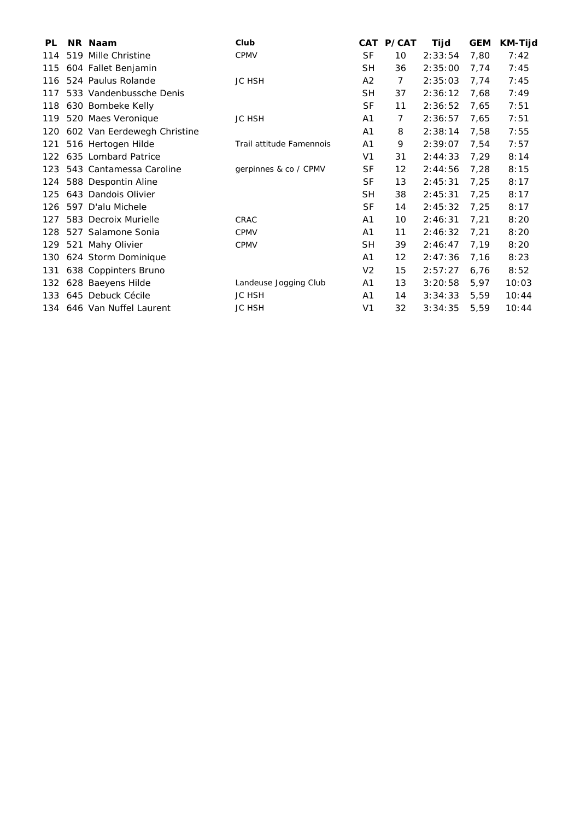| PL  | NR Naam                     | Club                     |                | CAT P/CAT | Tijd    | <b>GEM</b> | <b>KM-Tijd</b> |
|-----|-----------------------------|--------------------------|----------------|-----------|---------|------------|----------------|
| 114 | 519 Mille Christine         | <b>CPMV</b>              | <b>SF</b>      | 10        | 2:33:54 | 7,80       | 7:42           |
| 115 | 604 Fallet Benjamin         |                          | <b>SH</b>      | 36        | 2:35:00 | 7,74       | 7:45           |
| 116 | 524 Paulus Rolande          | <b>JC HSH</b>            | A2             | 7         | 2:35:03 | 7,74       | 7:45           |
| 117 | 533 Vandenbussche Denis     |                          | SH             | 37        | 2:36:12 | 7,68       | 7:49           |
| 118 | 630 Bombeke Kelly           |                          | <b>SF</b>      | 11        | 2:36:52 | 7,65       | 7:51           |
| 119 | 520 Maes Veronique          | <b>JC HSH</b>            | A <sub>1</sub> | 7         | 2:36:57 | 7,65       | 7:51           |
| 120 | 602 Van Eerdewegh Christine |                          | A1             | 8         | 2:38:14 | 7,58       | 7:55           |
| 121 | 516 Hertogen Hilde          | Trail attitude Famennois | A1             | 9         | 2:39:07 | 7,54       | 7:57           |
| 122 | 635 Lombard Patrice         |                          | V <sub>1</sub> | 31        | 2:44:33 | 7,29       | 8:14           |
| 123 | 543 Cantamessa Caroline     | gerpinnes & co / CPMV    | <b>SF</b>      | 12        | 2:44:56 | 7,28       | 8:15           |
| 124 | 588 Despontin Aline         |                          | <b>SF</b>      | 13        | 2:45:31 | 7,25       | 8:17           |
| 125 | 643 Dandois Olivier         |                          | <b>SH</b>      | 38        | 2:45:31 | 7,25       | 8:17           |
| 126 | 597 D'alu Michele           |                          | <b>SF</b>      | 14        | 2:45:32 | 7,25       | 8:17           |
| 127 | 583 Decroix Murielle        | CRAC                     | A1             | 10        | 2:46:31 | 7,21       | 8:20           |
| 128 | 527 Salamone Sonia          | <b>CPMV</b>              | A1             | 11        | 2:46:32 | 7,21       | 8:20           |
| 129 | 521 Mahy Olivier            | <b>CPMV</b>              | <b>SH</b>      | 39        | 2:46:47 | 7,19       | 8:20           |
| 130 | 624 Storm Dominique         |                          | A1             | 12        | 2:47:36 | 7,16       | 8:23           |
| 131 | 638 Coppinters Bruno        |                          | V <sub>2</sub> | 15        | 2:57:27 | 6,76       | 8:52           |
| 132 | 628 Baeyens Hilde           | Landeuse Jogging Club    | A1             | 13        | 3:20:58 | 5,97       | 10:03          |
| 133 | 645 Debuck Cécile           | <b>JC HSH</b>            | A1             | 14        | 3:34:33 | 5,59       | 10:44          |
|     | 134 646 Van Nuffel Laurent  | <b>JC HSH</b>            | V <sub>1</sub> | 32        | 3:34:35 | 5,59       | 10:44          |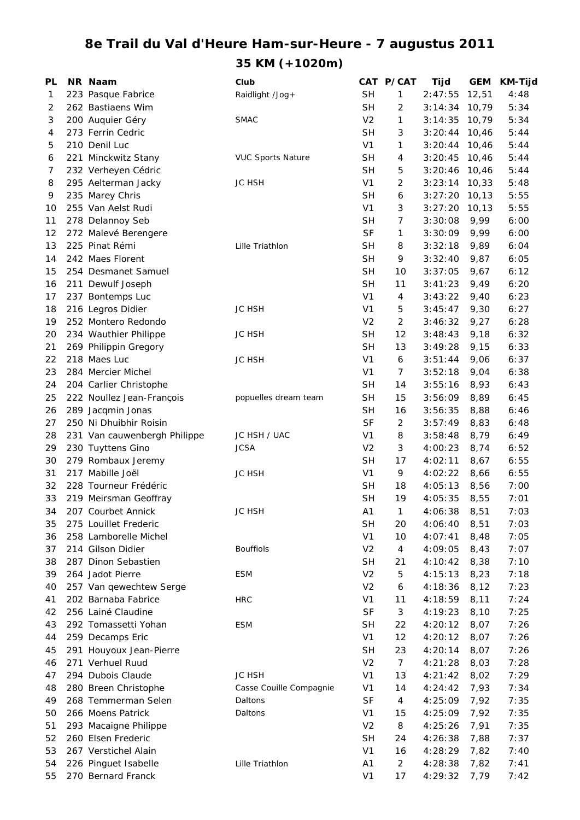## **8e Trail du Val d'Heure Ham-sur-Heure - 7 augustus 2011 35 KM (+1020m)**

| PL       | NR Naam                      | Club                     |                | CAT P/CAT      | Tijd               | <b>GEM</b>   | <b>KM-Tijd</b> |
|----------|------------------------------|--------------------------|----------------|----------------|--------------------|--------------|----------------|
| 1        | 223 Pasque Fabrice           | Raidlight /Jog+          | <b>SH</b>      | 1              | 2:47:55            | 12,51        | 4:48           |
| 2        | 262 Bastiaens Wim            |                          | <b>SH</b>      | 2              | 3:14:34            | 10,79        | 5:34           |
| 3        | 200 Auquier Géry             | <b>SMAC</b>              | V <sub>2</sub> | 1              | 3:14:35            | 10,79        | 5:34           |
| 4        | 273 Ferrin Cedric            |                          | <b>SH</b>      | 3              | 3:20:44            | 10,46        | 5:44           |
| 5        | 210 Denil Luc                |                          | V <sub>1</sub> | 1              | 3:20:44            | 10,46        | 5:44           |
| 6        | 221 Minckwitz Stany          | <b>VUC Sports Nature</b> | <b>SH</b>      | 4              | 3:20:45            | 10,46        | 5:44           |
| 7        | 232 Verheyen Cédric          |                          | <b>SH</b>      | 5              | 3:20:46            | 10,46        | 5:44           |
| 8        | 295 Aelterman Jacky          | <b>JC HSH</b>            | V <sub>1</sub> | $\overline{2}$ | 3:23:14            | 10,33        | 5:48           |
| 9        | 235 Marey Chris              |                          | <b>SH</b>      | 6              | 3:27:20            | 10, 13       | 5:55           |
| 10       | 255 Van Aelst Rudi           |                          | V <sub>1</sub> | 3              | 3:27:20            | 10, 13       | 5:55           |
| 11       | 278 Delannoy Seb             |                          | <b>SH</b>      | $\overline{7}$ | 3:30:08            | 9,99         | 6:00           |
| 12       | 272 Malevé Berengere         |                          | <b>SF</b>      | 1              | 3:30:09            | 9,99         | 6:00           |
| 13       | 225 Pinat Rémi               | Lille Triathlon          | <b>SH</b>      | 8              | 3:32:18            | 9,89         | 6:04           |
| 14       | 242 Maes Florent             |                          | <b>SH</b>      | 9              | 3:32:40            | 9,87         | 6:05           |
| 15       | 254 Desmanet Samuel          |                          | <b>SH</b>      | 10             | 3:37:05            | 9,67         | 6:12           |
| 16       | 211 Dewulf Joseph            |                          | <b>SH</b>      | 11             | 3:41:23            | 9,49         | 6:20           |
| 17       | 237 Bontemps Luc             |                          | V <sub>1</sub> | 4              | 3:43:22            | 9,40         | 6:23           |
| 18       | 216 Legros Didier            | <b>JC HSH</b>            | V <sub>1</sub> | 5              | 3:45:47            | 9,30         | 6:27           |
| 19       | 252 Montero Redondo          |                          | V <sub>2</sub> | $\overline{c}$ | 3:46:32            | 9,27         | 6:28           |
| 20       | 234 Wauthier Philippe        | <b>JC HSH</b>            | <b>SH</b>      | 12             | 3:48:43            | 9,18         | 6:32           |
| 21       | 269 Philippin Gregory        |                          | <b>SH</b>      | 13             | 3:49:28            | 9,15         | 6:33           |
| 22       | 218 Maes Luc                 | <b>JC HSH</b>            | V <sub>1</sub> | 6              | 3:51:44            | 9,06         | 6:37           |
| 23       | 284 Mercier Michel           |                          | V <sub>1</sub> | $\overline{7}$ | 3:52:18            | 9,04         | 6:38           |
| 24       | 204 Carlier Christophe       |                          | <b>SH</b>      | 14             | 3:55:16            | 8,93         | 6:43           |
| 25       | 222 Noullez Jean-François    | popuelles dream team     | <b>SH</b>      | 15             | 3:56:09            | 8,89         | 6:45           |
| 26       | 289 Jacqmin Jonas            |                          | <b>SH</b>      | 16             | 3:56:35            | 8,88         | 6:46           |
| 27       | 250 Ni Dhuibhir Roisin       |                          | <b>SF</b>      | 2              | 3:57:49            | 8,83         | 6:48           |
| 28       | 231 Van cauwenbergh Philippe | JC HSH / UAC             | V <sub>1</sub> | 8              | 3:58:48            | 8,79         | 6:49           |
| 29       | 230 Tuyttens Gino            | <b>JCSA</b>              | V <sub>2</sub> | 3              | 4:00:23            | 8,74         | 6:52           |
| 30       | 279 Rombaux Jeremy           |                          | <b>SH</b>      | 17             | 4:02:11            | 8,67         | 6:55           |
| 31       | 217 Mabille Joël             | <b>JC HSH</b>            | V <sub>1</sub> | 9              | 4:02:22            | 8,66         | 6:55           |
| 32       | 228 Tourneur Frédéric        |                          | <b>SH</b>      | 18             | 4:05:13            | 8,56         | 7:00           |
| 33       | 219 Meirsman Geoffray        |                          | <b>SH</b>      | 19             | 4:05:35            | 8,55         | 7:01           |
| 34       | 207 Courbet Annick           | JC HSH                   | A1             |                | 4:06:38            | 8,51         | 7:03           |
| 35       | 275 Louillet Frederic        |                          | <b>SH</b>      | 20             | 4:06:40            | 8,51         | 7:03           |
| 36       | 258 Lamborelle Michel        |                          | V <sub>1</sub> | 10             | 4:07:41            | 8,48         | 7:05           |
| 37       | 214 Gilson Didier            | <b>Bouffiols</b>         | V <sub>2</sub> | 4              | 4:09:05            | 8,43         | 7:07           |
| 38       | 287 Dinon Sebastien          |                          | <b>SH</b>      | 21             | 4:10:42            | 8,38         | 7:10           |
| 39       | 264 Jadot Pierre             | <b>ESM</b>               | V <sub>2</sub> | 5              | 4:15:13            | 8,23         | 7:18           |
| 40       | 257 Van qewechtew Serge      |                          | V <sub>2</sub> | 6              | 4:18:36            | 8,12         | 7:23           |
| 41       | 202 Barnaba Fabrice          | <b>HRC</b>               | V <sub>1</sub> | 11             | 4:18:59            | 8,11         | 7:24           |
| 42       | 256 Lainé Claudine           |                          | <b>SF</b>      | 3              | 4:19:23            | 8,10         | 7:25           |
| 43       | 292 Tomassetti Yohan         | <b>ESM</b>               | <b>SH</b>      | 22             | 4:20:12            | 8,07         | 7:26           |
| 44       | 259 Decamps Eric             |                          | V <sub>1</sub> | 12             | 4:20:12            | 8,07         | 7:26           |
| 45       | 291 Houyoux Jean-Pierre      |                          | <b>SH</b>      | 23             | 4:20:14            | 8,07         | 7:26           |
|          | 271 Verhuel Ruud             |                          | V <sub>2</sub> | $\overline{7}$ |                    |              |                |
| 46<br>47 | 294 Dubois Claude            | JC HSH                   | V <sub>1</sub> | 13             | 4:21:28<br>4:21:42 | 8,03<br>8,02 | 7:28<br>7:29   |
|          |                              |                          |                |                |                    |              |                |
| 48       | 280 Breen Christophe         | Casse Couille Compagnie  | V1             | 14             | 4:24:42            | 7,93         | 7:34           |
| 49       | 268 Temmerman Selen          | Daltons                  | <b>SF</b>      | 4              | 4:25:09            | 7,92         | 7:35           |
| 50       | 266 Moens Patrick            | Daltons                  | V <sub>1</sub> | 15             | 4:25:09            | 7,92         | 7:35           |
| 51       | 293 Macaigne Philippe        |                          | V <sub>2</sub> | 8              | 4:25:26            | 7,91         | 7:35           |
| 52       | 260 Elsen Frederic           |                          | <b>SH</b>      | 24             | 4:26:38            | 7,88         | 7:37           |
| 53       | 267 Verstichel Alain         |                          | V <sub>1</sub> | 16             | 4:28:29            | 7,82         | 7:40           |
| 54       | 226 Pinguet Isabelle         | Lille Triathlon          | Α1             | $\overline{c}$ | 4:28:38            | 7,82         | 7:41           |
| 55       | 270 Bernard Franck           |                          | V <sub>1</sub> | 17             | 4:29:32            | 7,79         | 7:42           |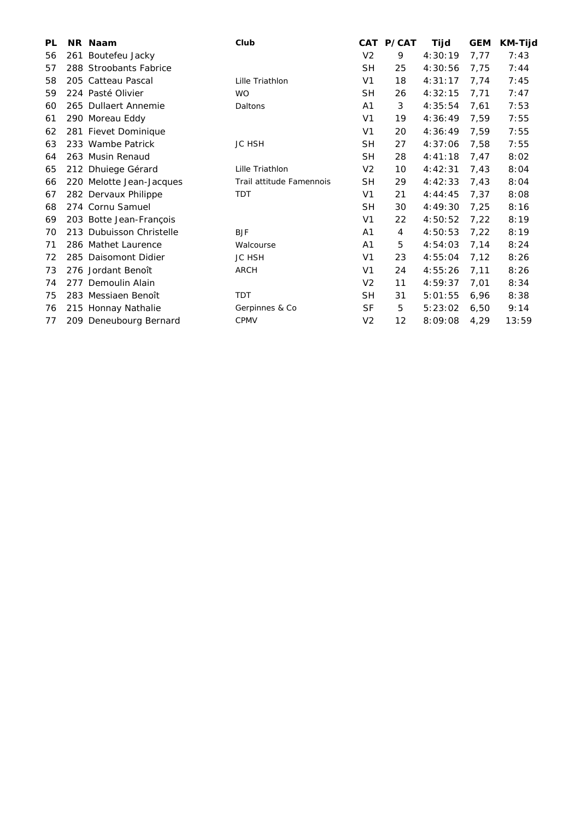| <b>PL</b> | NR Naam                  | Club                     |                | CAT P/CAT | Tijd    | <b>GEM</b> | <b>KM-Tijd</b> |
|-----------|--------------------------|--------------------------|----------------|-----------|---------|------------|----------------|
| 56        | 261 Boutefeu Jacky       |                          | V <sub>2</sub> | 9         | 4:30:19 | 7,77       | 7:43           |
| 57        | 288 Stroobants Fabrice   |                          | <b>SH</b>      | 25        | 4:30:56 | 7,75       | 7:44           |
| 58        | 205 Catteau Pascal       | Lille Triathlon          | V <sub>1</sub> | 18        | 4:31:17 | 7,74       | 7:45           |
| 59        | 224 Pasté Olivier        | <b>WO</b>                | <b>SH</b>      | 26        | 4:32:15 | 7,71       | 7:47           |
| 60        | 265 Dullaert Annemie     | Daltons                  | A <sub>1</sub> | 3         | 4:35:54 | 7,61       | 7:53           |
| 61        | 290 Moreau Eddy          |                          | V <sub>1</sub> | 19        | 4:36:49 | 7,59       | 7:55           |
| 62        | 281 Fievet Dominique     |                          | V <sub>1</sub> | 20        | 4:36:49 | 7,59       | 7:55           |
| 63        | 233 Wambe Patrick        | <b>JC HSH</b>            | <b>SH</b>      | 27        | 4:37:06 | 7,58       | 7:55           |
| 64        | 263 Musin Renaud         |                          | <b>SH</b>      | 28        | 4:41:18 | 7,47       | 8:02           |
| 65        | 212 Dhuiege Gérard       | Lille Triathlon          | V <sub>2</sub> | 10        | 4:42:31 | 7,43       | 8:04           |
| 66        | 220 Melotte Jean-Jacques | Trail attitude Famennois | <b>SH</b>      | 29        | 4:42:33 | 7,43       | 8:04           |
| 67        | 282 Dervaux Philippe     | <b>TDT</b>               | V1             | 21        | 4:44:45 | 7,37       | 8:08           |
| 68        | 274 Cornu Samuel         |                          | <b>SH</b>      | 30        | 4:49:30 | 7,25       | 8:16           |
| 69        | 203 Botte Jean-François  |                          | V <sub>1</sub> | 22        | 4:50:52 | 7,22       | 8:19           |
| 70        | 213 Dubuisson Christelle | <b>BJF</b>               | A <sub>1</sub> | 4         | 4:50:53 | 7,22       | 8:19           |
| 71        | 286 Mathet Laurence      | Walcourse                | A <sub>1</sub> | 5         | 4:54:03 | 7,14       | 8:24           |
| 72        | 285 Daisomont Didier     | <b>JC HSH</b>            | V <sub>1</sub> | 23        | 4:55:04 | 7,12       | 8:26           |
| 73        | 276 Jordant Benoît       | <b>ARCH</b>              | V <sub>1</sub> | 24        | 4:55:26 | 7,11       | 8:26           |
| 74        | 277 Demoulin Alain       |                          | V <sub>2</sub> | 11        | 4:59:37 | 7,01       | 8:34           |
| 75        | 283 Messiaen Benoît      | <b>TDT</b>               | <b>SH</b>      | 31        | 5:01:55 | 6,96       | 8:38           |
| 76        | 215 Honnay Nathalie      | Gerpinnes & Co           | <b>SF</b>      | 5         | 5:23:02 | 6,50       | 9:14           |
| 77        | 209 Deneubourg Bernard   | <b>CPMV</b>              | V <sub>2</sub> | 12        | 8:09:08 | 4,29       | 13:59          |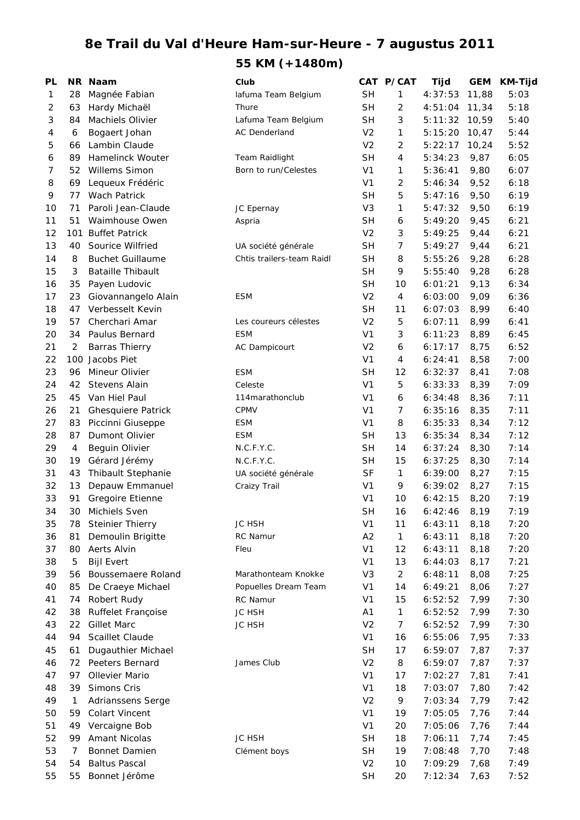## **8e Trail du Val d'Heure Ham-sur-Heure - 7 augustus 2011 55 KM (+1480m)**

| PL             |     | NR Naam                   | Club                      |                | CAT P/CAT      | Tijd    | <b>GEM</b> | <b>KM-Tijd</b> |
|----------------|-----|---------------------------|---------------------------|----------------|----------------|---------|------------|----------------|
| 1              | 28  | Magnée Fabian             | lafuma Team Belgium       | <b>SH</b>      | 1              | 4:37:53 | 11,88      | 5:03           |
| $\overline{2}$ | 63  | Hardy Michaël             | Thure                     | <b>SH</b>      | 2              | 4:51:04 | 11,34      | 5:18           |
| 3              | 84  | Machiels Olivier          | Lafuma Team Belgium       | <b>SH</b>      | 3              | 5:11:32 | 10,59      | 5:40           |
| 4              | 6   | Bogaert Johan             | <b>AC Denderland</b>      | V <sub>2</sub> | 1              | 5:15:20 | 10,47      | 5:44           |
| 5              | 66  | Lambin Claude             |                           | V <sub>2</sub> | 2              | 5:22:17 | 10,24      | 5:52           |
| 6              | 89  | Hamelinck Wouter          | Team Raidlight            | <b>SH</b>      | 4              | 5:34:23 | 9,87       | 6:05           |
| 7              | 52  | <b>Willems Simon</b>      | Born to run/Celestes      | V <sub>1</sub> | 1              | 5:36:41 | 9,80       | 6:07           |
| 8              | 69  | Lequeux Frédéric          |                           | V <sub>1</sub> | 2              | 5:46:34 | 9,52       | 6:18           |
| 9              | 77  | <b>Wach Patrick</b>       |                           | <b>SH</b>      | 5              | 5:47:16 | 9,50       | 6:19           |
| 10             | 71  | Paroli Jean-Claude        | JC Epernay                | V <sub>3</sub> | 1              | 5:47:32 | 9,50       | 6:19           |
| 11             | 51  | Waimhouse Owen            | Aspria                    | <b>SH</b>      | 6              | 5:49:20 | 9,45       | 6:21           |
| 12             |     | 101 Buffet Patrick        |                           | V <sub>2</sub> | 3              | 5:49:25 | 9,44       | 6:21           |
| 13             | 40  | Sourice Wilfried          | UA société générale       | <b>SH</b>      | $\overline{7}$ | 5:49:27 | 9,44       | 6:21           |
| 14             | 8   | <b>Buchet Guillaume</b>   | Chtis trailers-team Raidl | <b>SH</b>      | 8              | 5:55:26 | 9,28       | 6:28           |
| 15             | 3   | <b>Bataille Thibault</b>  |                           | <b>SH</b>      | 9              | 5:55:40 | 9,28       | 6:28           |
| 16             | 35  | Payen Ludovic             |                           | <b>SH</b>      | 10             | 6:01:21 | 9,13       | 6:34           |
| 17             | 23  | Giovannangelo Alain       | <b>ESM</b>                | V <sub>2</sub> | 4              | 6:03:00 | 9,09       | 6:36           |
| 18             | 47  | Verbesselt Kevin          |                           | <b>SH</b>      | 11             | 6:07:03 | 8,99       | 6:40           |
| 19             | 57  | Cherchari Amar            | Les coureurs célestes     | V <sub>2</sub> | 5              | 6:07:11 | 8,99       | 6:41           |
| 20             | 34  | Paulus Bernard            | <b>ESM</b>                | V <sub>1</sub> | 3              | 6:11:23 | 8,89       | 6:45           |
| 21             | 2   | <b>Barras Thierry</b>     | AC Dampicourt             | V <sub>2</sub> | 6              | 6:17:17 | 8,75       | 6:52           |
| 22             | 100 | Jacobs Piet               |                           | V <sub>1</sub> | 4              | 6:24:41 | 8,58       | 7:00           |
| 23             | 96  | Mineur Olivier            | <b>ESM</b>                | <b>SH</b>      | 12             | 6:32:37 | 8,41       | 7:08           |
| 24             | 42  | <b>Stevens Alain</b>      | Celeste                   | V <sub>1</sub> | 5              | 6:33:33 | 8,39       | 7:09           |
| 25             | 45  | Van Hiel Paul             | 114 marathonclub          | V <sub>1</sub> | 6              | 6:34:48 | 8,36       | 7:11           |
| 26             | 21  | <b>Ghesquiere Patrick</b> | <b>CPMV</b>               | V <sub>1</sub> | $\overline{7}$ | 6:35:16 | 8,35       | 7:11           |
| 27             | 83  | Piccinni Giuseppe         | <b>ESM</b>                | V <sub>1</sub> | 8              | 6:35:33 | 8,34       | 7:12           |
| 28             | 87  | Dumont Olivier            | <b>ESM</b>                | <b>SH</b>      | 13             | 6:35:34 | 8,34       | 7:12           |
| 29             | 4   | Beguin Olivier            | N.C.F.Y.C.                | <b>SH</b>      | 14             | 6:37:24 | 8,30       | 7:14           |
| 30             | 19  | Gérard Jérémy             | N.C.F.Y.C.                | <b>SH</b>      | 15             | 6:37:25 | 8,30       | 7:14           |
| 31             | 43  | Thibault Stephanie        | UA société générale       | SF             | 1              | 6:39:00 | 8,27       | 7:15           |
| 32             | 13  | Depauw Emmanuel           | Craizy Trail              | V <sub>1</sub> | 9              | 6:39:02 | 8,27       | 7:15           |
| 33             | 91  | Gregoire Etienne          |                           | V <sub>1</sub> | 10             | 6:42:15 | 8,20       | 7:19           |
| 34             |     | 30 Michiels Sven          |                           | <b>SH</b>      | 16             | 6:42:46 | 8,19       | 7:19           |
| 35             | 78  | <b>Steinier Thierry</b>   | JC HSH                    | V <sub>1</sub> | 11             | 6:43:11 | 8,18       | 7:20           |
| 36             | 81  | Demoulin Brigitte         | RC Namur                  | A2             | 1              | 6:43:11 | 8,18       | 7:20           |
| 37             | 80  | Aerts Alvin               | Fleu                      | V <sub>1</sub> | 12             | 6:43:11 | 8,18       | 7:20           |
| 38             | 5   | <b>Bijl Evert</b>         |                           | V <sub>1</sub> | 13             | 6:44:03 | 8,17       | 7:21           |
| 39             | 56  | Boussemaere Roland        | Marathonteam Knokke       | V <sub>3</sub> | $\overline{a}$ | 6:48:11 | 8,08       | 7:25           |
| 40             | 85  | De Craeye Michael         | Popuelles Dream Team      | V <sub>1</sub> | 14             | 6:49:21 | 8,06       | 7:27           |
| 41             | 74  | Robert Rudy               | RC Namur                  | V <sub>1</sub> | 15             | 6:52:52 | 7,99       | 7:30           |
| 42             | 38  | Ruffelet Françoise        | JC HSH                    | A <sub>1</sub> | 1              | 6:52:52 | 7,99       | 7:30           |
| 43             | 22  | <b>Gillet Marc</b>        | JC HSH                    | V <sub>2</sub> | 7              | 6:52:52 | 7,99       | 7:30           |
| 44             | 94  | Scaillet Claude           |                           | V <sub>1</sub> | 16             | 6:55:06 | 7,95       | 7:33           |
| 45             | 61  | Dugauthier Michael        |                           | <b>SH</b>      | 17             | 6:59:07 | 7,87       | 7:37           |
| 46             | 72  | Peeters Bernard           | James Club                | V <sub>2</sub> | 8              | 6:59:07 | 7,87       | 7:37           |
| 47             | 97  | Ollevier Mario            |                           | V <sub>1</sub> | 17             | 7:02:27 | 7,81       | 7:41           |
| 48             | 39  | Simons Cris               |                           | V <sub>1</sub> | 18             | 7:03:07 | 7,80       | 7:42           |
| 49             | 1   | Adrianssens Serge         |                           | V <sub>2</sub> | 9              | 7:03:34 | 7,79       | 7:42           |
| 50             | 59  | <b>Colart Vincent</b>     |                           | V <sub>1</sub> | 19             | 7:05:05 | 7,76       | 7:44           |
| 51             | 49  | Vercaigne Bob             |                           | V <sub>1</sub> | 20             | 7:05:06 | 7,76       | 7:44           |
| 52             | 99  | Amant Nicolas             | <b>JC HSH</b>             | <b>SH</b>      | 18             | 7:06:11 | 7,74       | 7:45           |
| 53             | 7   | Bonnet Damien             | Clément boys              | <b>SH</b>      | 19             | 7:08:48 | 7,70       | 7:48           |
| 54             | 54  | <b>Baltus Pascal</b>      |                           | V <sub>2</sub> | 10             | 7:09:29 | 7,68       | 7:49           |
| 55             |     |                           |                           |                |                |         |            | 7:52           |
|                | 55  | Bonnet Jérôme             |                           | <b>SH</b>      | 20             | 7:12:34 | 7,63       |                |